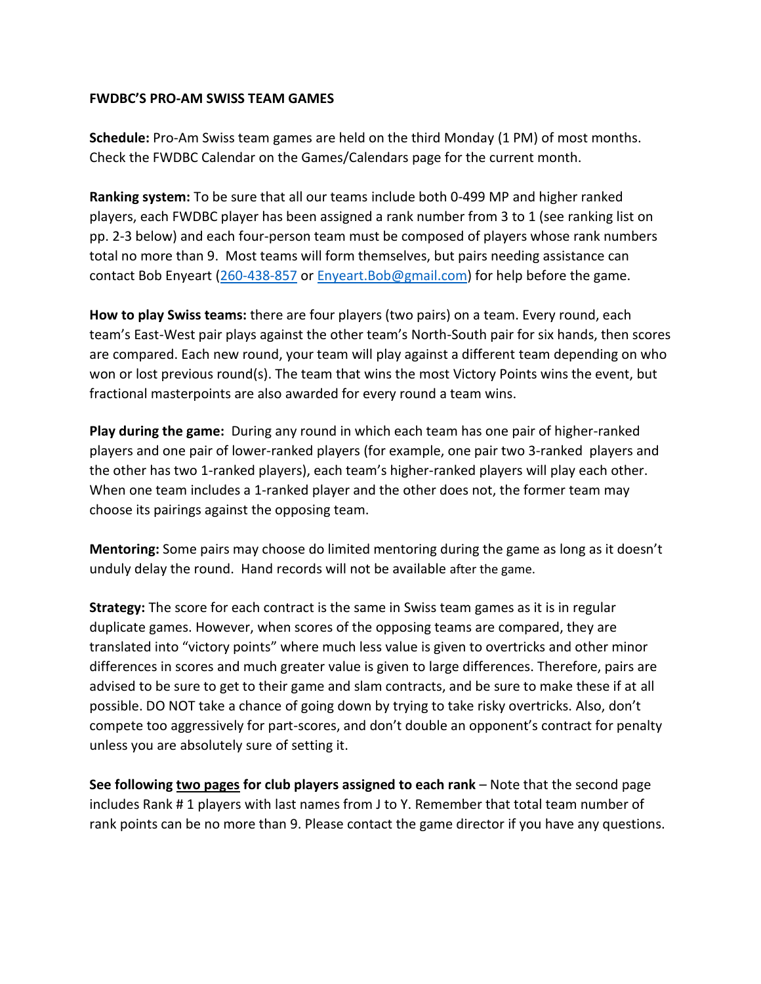## **FWDBC'S PRO-AM SWISS TEAM GAMES**

**Schedule:** Pro-Am Swiss team games are held on the third Monday (1 PM) of most months. Check the FWDBC Calendar on the Games/Calendars page for the current month.

**Ranking system:** To be sure that all our teams include both 0-499 MP and higher ranked players, each FWDBC player has been assigned a rank number from 3 to 1 (see ranking list on pp. 2-3 below) and each four-person team must be composed of players whose rank numbers total no more than 9. Most teams will form themselves, but pairs needing assistance can contact Bob Enyeart [\(260-438-857](tel:260-438-8571) or [Enyeart.Bob@gmail.com\)](mailto:Enyeart.Bob@gmail.com) for help before the game.

**How to play Swiss teams:** there are four players (two pairs) on a team. Every round, each team's East-West pair plays against the other team's North-South pair for six hands, then scores are compared. Each new round, your team will play against a different team depending on who won or lost previous round(s). The team that wins the most Victory Points wins the event, but fractional masterpoints are also awarded for every round a team wins.

**Play during the game:** During any round in which each team has one pair of higher-ranked players and one pair of lower-ranked players (for example, one pair two 3-ranked players and the other has two 1-ranked players), each team's higher-ranked players will play each other. When one team includes a 1-ranked player and the other does not, the former team may choose its pairings against the opposing team.

**Mentoring:** Some pairs may choose do limited mentoring during the game as long as it doesn't unduly delay the round. Hand records will not be available after the game.

**Strategy:** The score for each contract is the same in Swiss team games as it is in regular duplicate games. However, when scores of the opposing teams are compared, they are translated into "victory points" where much less value is given to overtricks and other minor differences in scores and much greater value is given to large differences. Therefore, pairs are advised to be sure to get to their game and slam contracts, and be sure to make these if at all possible. DO NOT take a chance of going down by trying to take risky overtricks. Also, don't compete too aggressively for part-scores, and don't double an opponent's contract for penalty unless you are absolutely sure of setting it.

**See following two pages for club players assigned to each rank** – Note that the second page includes Rank # 1 players with last names from J to Y. Remember that total team number of rank points can be no more than 9. Please contact the game director if you have any questions.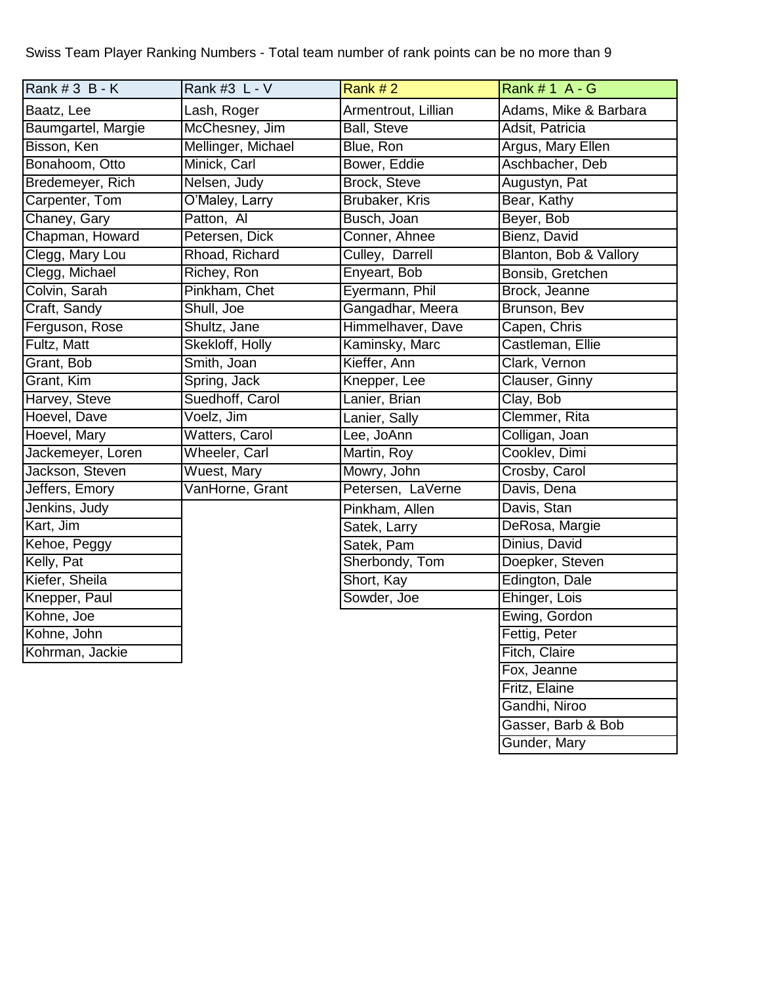Swiss Team Player Ranking Numbers - Total team number of rank points can be no more than 9

| $\mathsf{Rank} \#3 \; \mathsf{B} \cdot \mathsf{K}$ | Rank #3 L - V         | Rank #2             | Rank # 1 A - G         |
|----------------------------------------------------|-----------------------|---------------------|------------------------|
| Baatz, Lee                                         | Lash, Roger           | Armentrout, Lillian | Adams, Mike & Barbara  |
| Baumgartel, Margie                                 | McChesney, Jim        | <b>Ball, Steve</b>  | Adsit, Patricia        |
| Bisson, Ken                                        | Mellinger, Michael    | Blue, Ron           | Argus, Mary Ellen      |
| Bonahoom, Otto                                     | Minick, Carl          | Bower, Eddie        | Aschbacher, Deb        |
| Bredemeyer, Rich                                   | Nelsen, Judy          | <b>Brock, Steve</b> | Augustyn, Pat          |
| Carpenter, Tom                                     | O'Maley, Larry        | Brubaker, Kris      | Bear, Kathy            |
| Chaney, Gary                                       | Patton, Al            | Busch, Joan         | Beyer, Bob             |
| Chapman, Howard                                    | Petersen, Dick        | Conner, Ahnee       | Bienz, David           |
| Clegg, Mary Lou                                    | Rhoad, Richard        | Culley, Darrell     | Blanton, Bob & Vallory |
| Clegg, Michael                                     | Richey, Ron           | Enyeart, Bob        | Bonsib, Gretchen       |
| Colvin, Sarah                                      | Pinkham, Chet         | Eyermann, Phil      | Brock, Jeanne          |
| Craft, Sandy                                       | Shull, Joe            | Gangadhar, Meera    | Brunson, Bev           |
| Ferguson, Rose                                     | Shultz, Jane          | Himmelhaver, Dave   | Capen, Chris           |
| Fultz, Matt                                        | Skekloff, Holly       | Kaminsky, Marc      | Castleman, Ellie       |
| Grant, Bob                                         | Smith, Joan           | Kieffer, Ann        | Clark, Vernon          |
| Grant, Kim                                         | Spring, Jack          | Knepper, Lee        | Clauser, Ginny         |
| Harvey, Steve                                      | Suedhoff, Carol       | Lanier, Brian       | Clay, Bob              |
| Hoevel, Dave                                       | Voelz, Jim            | Lanier, Sally       | Clemmer, Rita          |
| Hoevel, Mary                                       | <b>Watters, Carol</b> | Lee, JoAnn          | Colligan, Joan         |
| Jackemeyer, Loren                                  | Wheeler, Carl         | Martin, Roy         | Cooklev, Dimi          |
| Jackson, Steven                                    | <b>Wuest, Mary</b>    | Mowry, John         | Crosby, Carol          |
| Jeffers, Emory                                     | VanHorne, Grant       | Petersen, LaVerne   | Davis, Dena            |
| Jenkins, Judy                                      |                       | Pinkham, Allen      | Davis, Stan            |
| Kart, Jim                                          |                       | Satek, Larry        | DeRosa, Margie         |
| Kehoe, Peggy                                       |                       | Satek, Pam          | Dinius, David          |
| Kelly, Pat                                         |                       | Sherbondy, Tom      | Doepker, Steven        |
| Kiefer, Sheila                                     |                       | Short, Kay          | Edington, Dale         |
| Knepper, Paul                                      |                       | Sowder, Joe         | Ehinger, Lois          |
| Kohne, Joe                                         |                       |                     | Ewing, Gordon          |
| Kohne, John                                        |                       |                     | Fettig, Peter          |
| Kohrman, Jackie                                    |                       |                     | Fitch, Claire          |
|                                                    |                       |                     | Fox, Jeanne            |
|                                                    |                       |                     | Fritz, Elaine          |
|                                                    |                       |                     | Gandhi, Niroo          |
|                                                    |                       |                     | Gasser, Barb & Bob     |

Gunder, Mary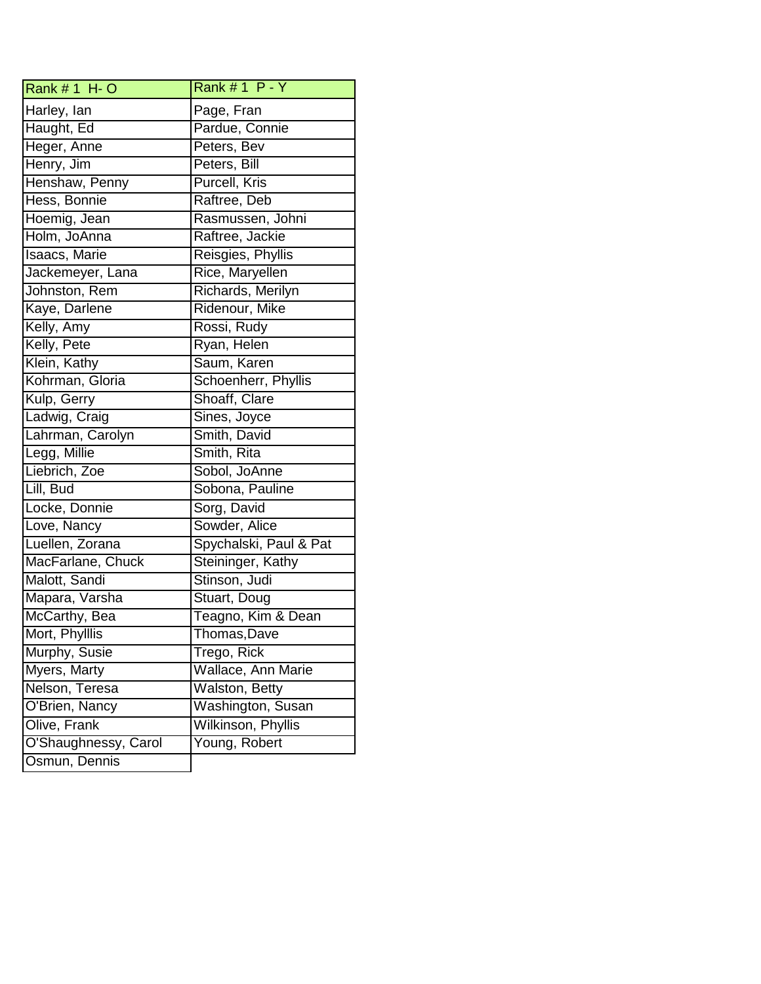| Rank # 1 H- O        | Rank $# 1 P - Y$       |  |
|----------------------|------------------------|--|
| Harley, lan          | Page, Fran             |  |
| Haught, Ed           | Pardue, Connie         |  |
| Heger, Anne          | Peters, Bev            |  |
| Henry, Jim           | Peters, Bill           |  |
| Henshaw, Penny       | <b>Purcell, Kris</b>   |  |
| Hess, Bonnie         | Raftree, Deb           |  |
| Hoemig, Jean         | Rasmussen, Johni       |  |
| Holm, JoAnna         | Raftree, Jackie        |  |
| Isaacs, Marie        | Reisgies, Phyllis      |  |
| Jackemeyer, Lana     | Rice, Maryellen        |  |
| Johnston, Rem        | Richards, Merilyn      |  |
| Kaye, Darlene        | Ridenour, Mike         |  |
| Kelly, Amy           | Rossi, Rudy            |  |
| Kelly, Pete          | Ryan, Helen            |  |
| Klein, Kathy         | Saum, Karen            |  |
| Kohrman, Gloria      | Schoenherr, Phyllis    |  |
| Kulp, Gerry          | Shoaff, Clare          |  |
| Ladwig, Craig        | Sines, Joyce           |  |
| Lahrman, Carolyn     | Smith, David           |  |
| Legg, Millie         | Smith, Rita            |  |
| Liebrich, Zoe        | Sobol, JoAnne          |  |
| Lill, Bud            | Sobona, Pauline        |  |
| Locke, Donnie        | Sorg, David            |  |
| Love, Nancy          | Sowder, Alice          |  |
| Luellen, Zorana      | Spychalski, Paul & Pat |  |
| MacFarlane, Chuck    | Steininger, Kathy      |  |
| Malott, Sandi        | Stinson, Judi          |  |
| Mapara, Varsha       | Stuart, Doug           |  |
| McCarthy, Bea        | Teagno, Kim & Dean     |  |
| Mort, Phylllis       | Thomas, Dave           |  |
| Murphy, Susie        | Trego, Rick            |  |
| Myers, Marty         | Wallace, Ann Marie     |  |
| Nelson, Teresa       | Walston, Betty         |  |
| O'Brien, Nancy       | Washington, Susan      |  |
| Olive, Frank         | Wilkinson, Phyllis     |  |
| O'Shaughnessy, Carol | Young, Robert          |  |
| Osmun, Dennis        |                        |  |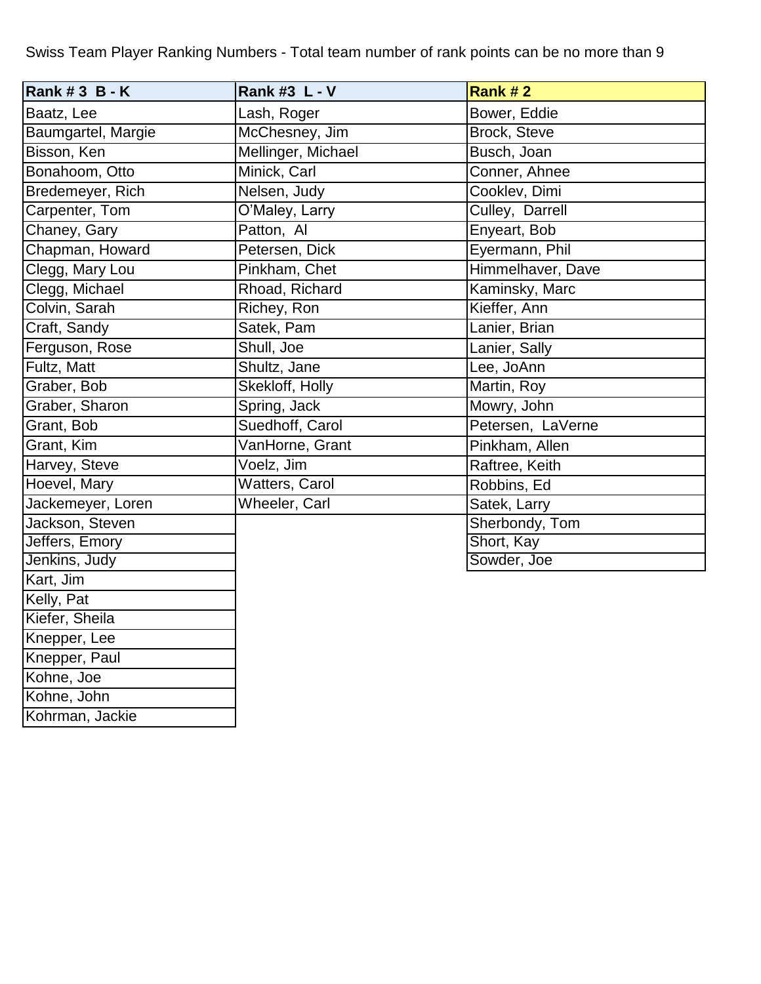Swiss Team Player Ranking Numbers - Total team number of rank points can be no more than 9

| Rank # 3 B - K     | Rank #3 L - V         | Rank #2           |
|--------------------|-----------------------|-------------------|
| Baatz, Lee         | Lash, Roger           | Bower, Eddie      |
| Baumgartel, Margie | McChesney, Jim        | Brock, Steve      |
| Bisson, Ken        | Mellinger, Michael    | Busch, Joan       |
| Bonahoom, Otto     | Minick, Carl          | Conner, Ahnee     |
| Bredemeyer, Rich   | Nelsen, Judy          | Cooklev, Dimi     |
| Carpenter, Tom     | O'Maley, Larry        | Culley, Darrell   |
| Chaney, Gary       | Patton, Al            | Enyeart, Bob      |
| Chapman, Howard    | Petersen, Dick        | Eyermann, Phil    |
| Clegg, Mary Lou    | Pinkham, Chet         | Himmelhaver, Dave |
| Clegg, Michael     | Rhoad, Richard        | Kaminsky, Marc    |
| Colvin, Sarah      | Richey, Ron           | Kieffer, Ann      |
| Craft, Sandy       | Satek, Pam            | Lanier, Brian     |
| Ferguson, Rose     | Shull, Joe            | Lanier, Sally     |
| Fultz, Matt        | Shultz, Jane          | Lee, JoAnn        |
| Graber, Bob        | Skekloff, Holly       | Martin, Roy       |
| Graber, Sharon     | Spring, Jack          | Mowry, John       |
| Grant, Bob         | Suedhoff, Carol       | Petersen, LaVerne |
| Grant, Kim         | VanHorne, Grant       | Pinkham, Allen    |
| Harvey, Steve      | Voelz, Jim            | Raftree, Keith    |
| Hoevel, Mary       | <b>Watters, Carol</b> | Robbins, Ed       |
| Jackemeyer, Loren  | Wheeler, Carl         | Satek, Larry      |
| Jackson, Steven    |                       | Sherbondy, Tom    |
| Jeffers, Emory     |                       | Short, Kay        |
| Jenkins, Judy      |                       | Sowder, Joe       |
| Kart, Jim          |                       |                   |
| Kelly, Pat         |                       |                   |
| Kiefer, Sheila     |                       |                   |
| Knepper, Lee       |                       |                   |
| Knepper, Paul      |                       |                   |
| Kohne, Joe         |                       |                   |
| Kohne, John        |                       |                   |

Kohrman, Jackie